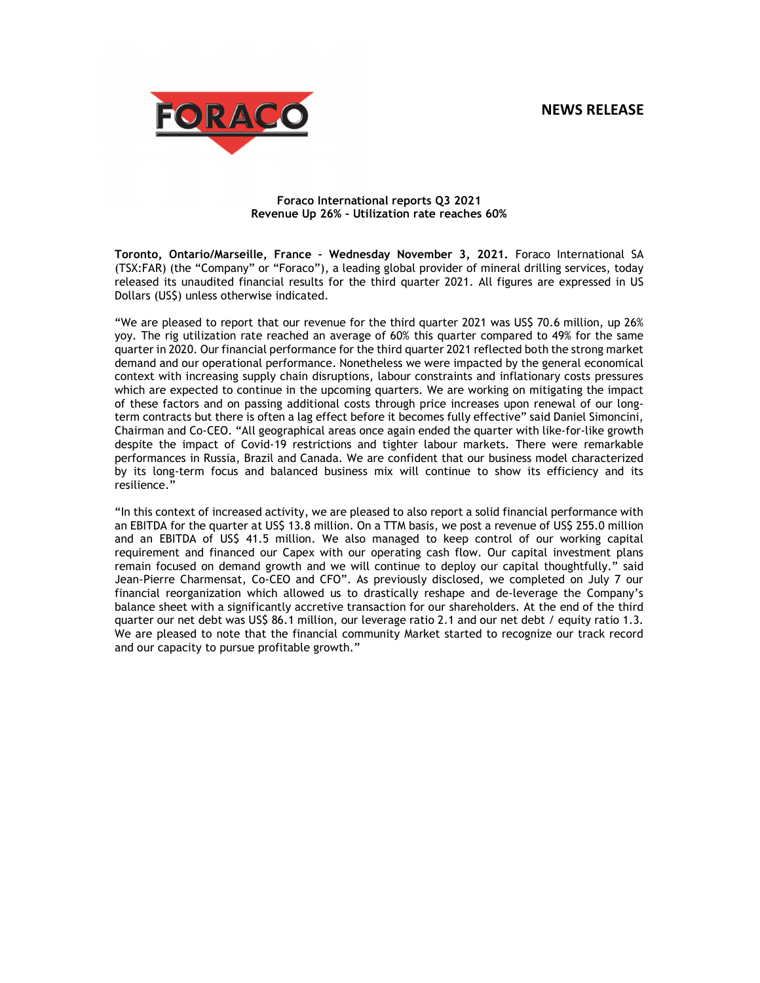# NEWS RELEASE



## Foraco International reports Q3 2021 Revenue Up 26% - Utilization rate reaches 60%

Toronto, Ontario/Marseille, France – Wednesday November 3, 2021. Foraco International SA (TSX:FAR) (the "Company" or "Foraco"), a leading global provider of mineral drilling services, today released its unaudited financial results for the third quarter 2021. All figures are expressed in US Dollars (US\$) unless otherwise indicated.

"We are pleased to report that our revenue for the third quarter 2021 was US\$ 70.6 million, up 26% yoy. The rig utilization rate reached an average of 60% this quarter compared to 49% for the same quarter in 2020. Our financial performance for the third quarter 2021 reflected both the strong market demand and our operational performance. Nonetheless we were impacted by the general economical context with increasing supply chain disruptions, labour constraints and inflationary costs pressures which are expected to continue in the upcoming quarters. We are working on mitigating the impact of these factors and on passing additional costs through price increases upon renewal of our longterm contracts but there is often a lag effect before it becomes fully effective" said Daniel Simoncini, Chairman and Co-CEO. "All geographical areas once again ended the quarter with like-for-like growth despite the impact of Covid-19 restrictions and tighter labour markets. There were remarkable performances in Russia, Brazil and Canada. We are confident that our business model characterized by its long-term focus and balanced business mix will continue to show its efficiency and its resilience."

"In this context of increased activity, we are pleased to also report a solid financial performance with an EBITDA for the quarter at US\$ 13.8 million. On a TTM basis, we post a revenue of US\$ 255.0 million and an EBITDA of US\$ 41.5 million. We also managed to keep control of our working capital requirement and financed our Capex with our operating cash flow. Our capital investment plans remain focused on demand growth and we will continue to deploy our capital thoughtfully." said Jean-Pierre Charmensat, Co-CEO and CFO". As previously disclosed, we completed on July 7 our financial reorganization which allowed us to drastically reshape and de-leverage the Company's balance sheet with a significantly accretive transaction for our shareholders. At the end of the third quarter our net debt was US\$ 86.1 million, our leverage ratio 2.1 and our net debt / equity ratio 1.3. We are pleased to note that the financial community Market started to recognize our track record and our capacity to pursue profitable growth."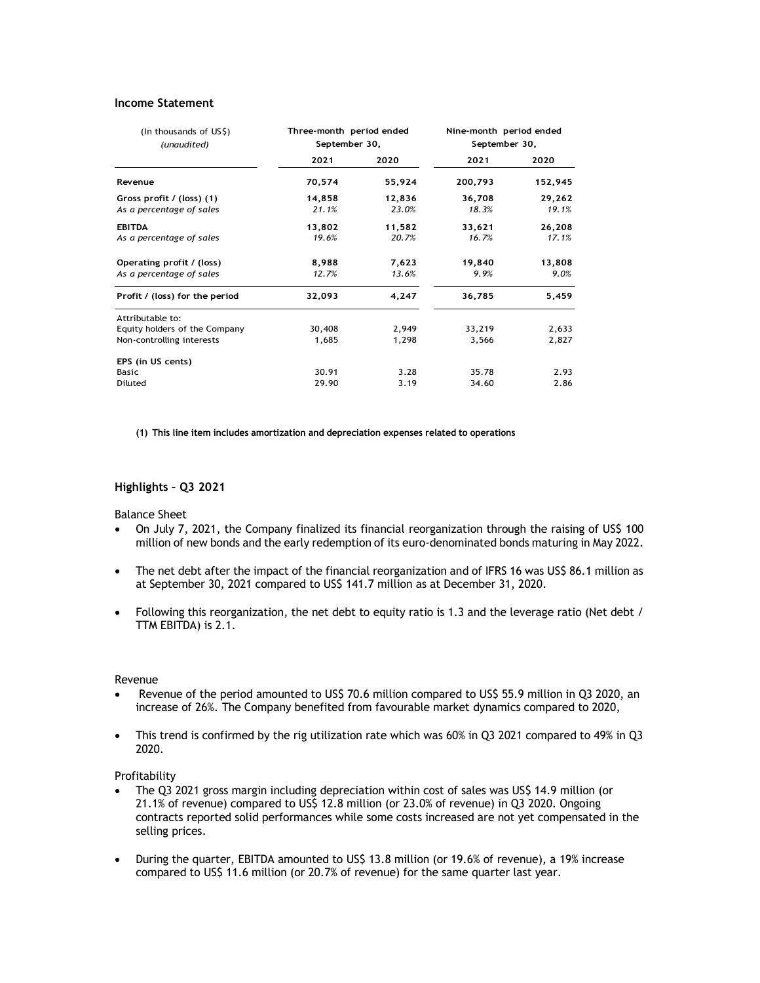# Income Statement

| <b>Income Statement</b>                               |                          |                 |                         |                 |
|-------------------------------------------------------|--------------------------|-----------------|-------------------------|-----------------|
| (In thousands of US\$)                                | Three-month period ended |                 | Nine-month period ended |                 |
| (unaudited)                                           | September 30,<br>2021    | 2020            | September 30,<br>2021   | 2020            |
| Revenue                                               | 70,574                   | 55,924          | 200,793                 | 152,945         |
| Gross profit / (loss) (1)<br>As a percentage of sales | 14,858<br>21.1%          | 12,836<br>23.0% | 36,708<br>18.3%         | 29,262<br>19.1% |
|                                                       |                          | 11,582          | 33,621                  | 26,208          |
| <b>EBITDA</b>                                         | 13,802                   |                 |                         | 17.1%           |
| As a percentage of sales                              | 19.6%                    | 20.7%           | 16.7%                   |                 |
| Operating profit / (loss)                             | 8,988                    | 7,623           | 19,840                  | 13,808          |
| As a percentage of sales                              | 12.7%                    | 13.6%           | 9.9%                    | 9.0%            |
| Profit / (loss) for the period                        | 32,093                   | 4,247           | 36,785                  | 5,459           |
| Attributable to:<br>Equity holders of the Company     | 30,408                   | 2,949           | 33,219                  | 2,633           |
| Non-controlling interests                             | 1,685                    | 1,298           | 3,566                   | 2,827           |
| EPS (in US cents)<br>Basic                            | 30.91                    | 3.28            | 35.78                   | 2.93            |

(1) This line item includes amortization and depreciation expenses related to operations

# Highlights – Q3 2021

Balance Sheet

- On July 7, 2021, the Company finalized its financial reorganization through the raising of US\$ 100 million of new bonds and the early redemption of its euro-denominated bonds maturing in May 2022.
- The net debt after the impact of the financial reorganization and of IFRS 16 was US\$ 86.1 million as at September 30, 2021 compared to US\$ 141.7 million as at December 31, 2020.
- Following this reorganization, the net debt to equity ratio is 1.3 and the leverage ratio (Net debt / TTM EBITDA) is 2.1.

#### Revenue

- Revenue of the period amounted to US\$ 70.6 million compared to US\$ 55.9 million in Q3 2020, an increase of 26%. The Company benefited from favourable market dynamics compared to 2020,
- This trend is confirmed by the rig utilization rate which was 60% in Q3 2021 compared to 49% in Q3 2020.

# Profitability

- The Q3 2021 gross margin including depreciation within cost of sales was US\$ 14.9 million (or 21.1% of revenue) compared to US\$ 12.8 million (or 23.0% of revenue) in Q3 2020. Ongoing contracts reported solid performances while some costs increased are not yet compensated in the selling prices.
- During the quarter, EBITDA amounted to US\$ 13.8 million (or 19.6% of revenue), a 19% increase compared to US\$ 11.6 million (or 20.7% of revenue) for the same quarter last year.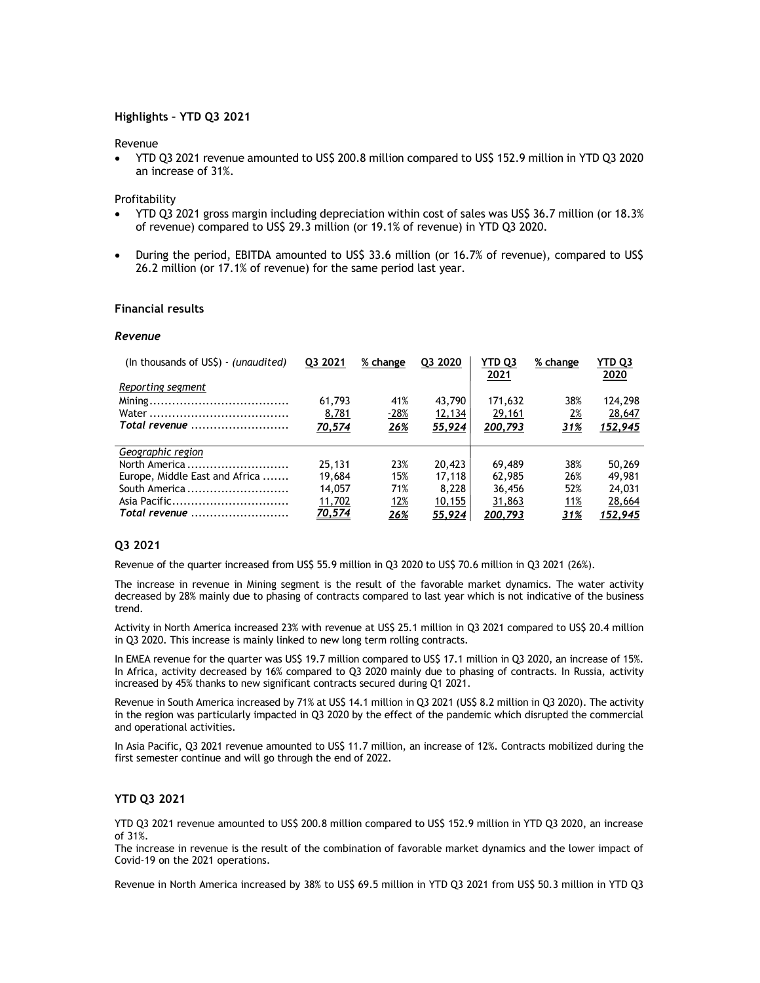## Highlights – YTD Q3 2021

Revenue

 YTD Q3 2021 revenue amounted to US\$ 200.8 million compared to US\$ 152.9 million in YTD Q3 2020 an increase of 31%.

Profitability

- YTD Q3 2021 gross margin including depreciation within cost of sales was US\$ 36.7 million (or 18.3% of revenue) compared to US\$ 29.3 million (or 19.1% of revenue) in YTD Q3 2020.
- During the period, EBITDA amounted to US\$ 33.6 million (or 16.7% of revenue), compared to US\$ 26.2 million (or 17.1% of revenue) for the same period last year.

# Financial results

## Revenue

| (In thousands of US\$) - (unaudited) | Q3 2021       | % change   | Q3 2020       | YTD Q3<br>2021 | % change  | YTD Q3<br>2020 |
|--------------------------------------|---------------|------------|---------------|----------------|-----------|----------------|
| Reporting segment                    |               |            |               |                |           |                |
|                                      | 61,793        | 41%        | 43,790        | 171.632        | 38%       | 124,298        |
|                                      | 8,781         | $-28%$     | 12,134        | 29,161         | <u>2%</u> | 28,647         |
| Total revenue                        | 70,574        | 26%        | 55,924        | 200,793        | 31%       | 152,945        |
|                                      |               |            |               |                |           |                |
| Geographic region                    |               |            |               |                |           |                |
| North America                        | 25,131        | 23%        | 20,423        | 69,489         | 38%       | 50,269         |
| Europe, Middle East and Africa       | 19,684        | 15%        | 17,118        | 62,985         | 26%       | 49,981         |
| South America                        | 14,057        | 71%        | 8,228         | 36,456         | 52%       | 24,031         |
| Asia Pacific                         | 11,702        | <u>12%</u> | <u>10,155</u> | 31,863         | 11%       | 28,664         |
| Total revenue                        | <u>70,574</u> | 26%        | 55.924        | 200.793        | 31%       | 152,945        |

# Q3 2021

Revenue of the quarter increased from US\$ 55.9 million in Q3 2020 to US\$ 70.6 million in Q3 2021 (26%).

The increase in revenue in Mining segment is the result of the favorable market dynamics. The water activity decreased by 28% mainly due to phasing of contracts compared to last year which is not indicative of the business trend.

Activity in North America increased 23% with revenue at US\$ 25.1 million in Q3 2021 compared to US\$ 20.4 million in Q3 2020. This increase is mainly linked to new long term rolling contracts.

In EMEA revenue for the quarter was US\$ 19.7 million compared to US\$ 17.1 million in Q3 2020, an increase of 15%. In Africa, activity decreased by 16% compared to Q3 2020 mainly due to phasing of contracts. In Russia, activity increased by 45% thanks to new significant contracts secured during Q1 2021.

Revenue in South America increased by 71% at US\$ 14.1 million in Q3 2021 (US\$ 8.2 million in Q3 2020). The activity in the region was particularly impacted in Q3 2020 by the effect of the pandemic which disrupted the commercial and operational activities.

In Asia Pacific, Q3 2021 revenue amounted to US\$ 11.7 million, an increase of 12%. Contracts mobilized during the first semester continue and will go through the end of 2022.

# YTD Q3 2021

YTD Q3 2021 revenue amounted to US\$ 200.8 million compared to US\$ 152.9 million in YTD Q3 2020, an increase of 31%.

The increase in revenue is the result of the combination of favorable market dynamics and the lower impact of Covid-19 on the 2021 operations.

Revenue in North America increased by 38% to US\$ 69.5 million in YTD Q3 2021 from US\$ 50.3 million in YTD Q3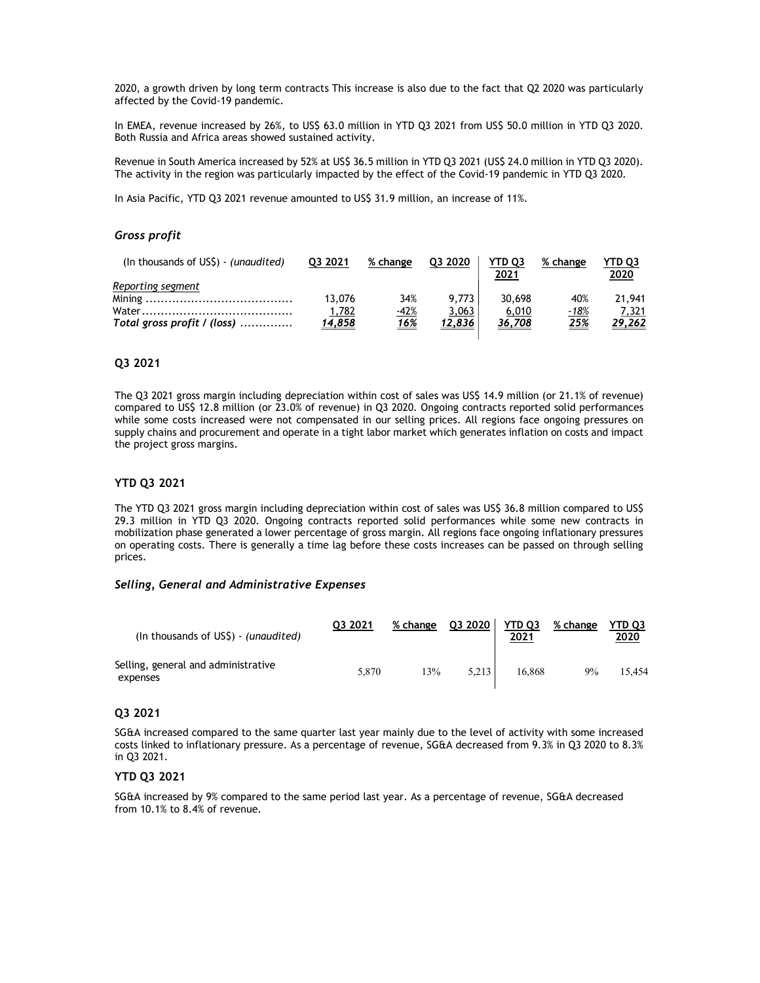2020, a growth driven by long term contracts This increase is also due to the fact that Q2 2020 was particularly affected by the Covid-19 pandemic.

In EMEA, revenue increased by 26%, to US\$ 63.0 million in YTD Q3 2021 from US\$ 50.0 million in YTD Q3 2020. Both Russia and Africa areas showed sustained activity.

Revenue in South America increased by 52% at US\$ 36.5 million in YTD Q3 2021 (US\$ 24.0 million in YTD Q3 2020). The activity in the region was particularly impacted by the effect of the Covid-19 pandemic in YTD Q3 2020.

In Asia Pacific, YTD Q3 2021 revenue amounted to US\$ 31.9 million, an increase of 11%.

#### Gross profit

| (In thousands of US\$) - (unaudited) | 03 2021 | % change    | 03 2020 | YTD <sub>03</sub> | % change | <b>YTD 03</b> |
|--------------------------------------|---------|-------------|---------|-------------------|----------|---------------|
|                                      |         |             |         | 2021              |          | 2020          |
| Reporting segment                    |         |             |         |                   |          |               |
|                                      | 13,076  | 34%         | 9.773   | 30,698            | 40%      | 21,941        |
|                                      | 1,782   | $-42%$      | 3,063   | 6,010             | -18%     | 7,321         |
| Total gross profit / (loss)          | 14,858  | <u> 16%</u> | 12.836  | 36,708            | 25%      | <u>29,262</u> |
|                                      |         |             |         |                   |          |               |

#### Q3 2021

The Q3 2021 gross margin including depreciation within cost of sales was US\$ 14.9 million (or 21.1% of revenue) compared to US\$ 12.8 million (or 23.0% of revenue) in Q3 2020. Ongoing contracts reported solid performances while some costs increased were not compensated in our selling prices. All regions face ongoing pressures on supply chains and procurement and operate in a tight labor market which generates inflation on costs and impact the project gross margins.

# YTD Q3 2021

The YTD Q3 2021 gross margin including depreciation within cost of sales was US\$ 36.8 million compared to US\$ 29.3 million in YTD Q3 2020. Ongoing contracts reported solid performances while some new contracts in mobilization phase generated a lower percentage of gross margin. All regions face ongoing inflationary pressures on operating costs. There is generally a time lag before these costs increases can be passed on through selling prices.

#### Selling, General and Administrative Expenses

| (In thousands of US\$) - (unaudited)            | 03 2021 | % change | 03 2020 | YTD <sub>03</sub><br>2021 | % change | YTD 03<br>2020 |
|-------------------------------------------------|---------|----------|---------|---------------------------|----------|----------------|
| Selling, general and administrative<br>expenses | 5.870   | 13%      | 5.213   | 16.868                    | 9%       | 15.454         |

#### Q3 2021

SG&A increased compared to the same quarter last year mainly due to the level of activity with some increased costs linked to inflationary pressure. As a percentage of revenue, SG&A decreased from 9.3% in Q3 2020 to 8.3% in Q3 2021.

# YTD Q3 2021

SG&A increased by 9% compared to the same period last year. As a percentage of revenue, SG&A decreased from 10.1% to 8.4% of revenue.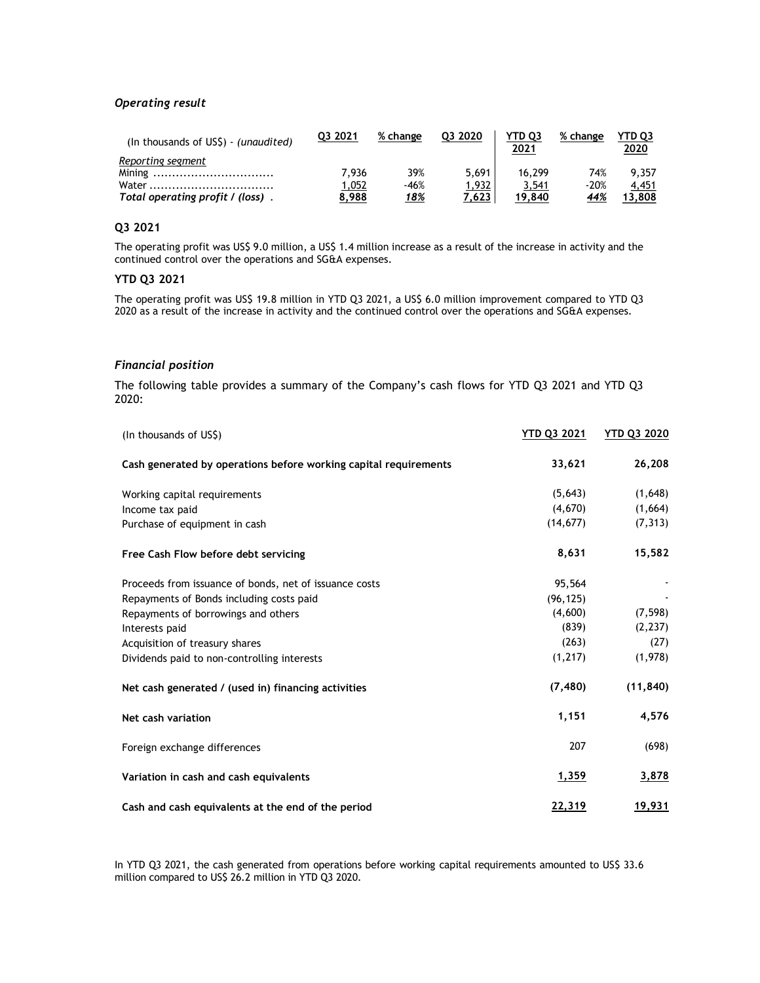# Operating result

| (In thousands of US\$) - (unaudited) | 03 2021 | % change | 03 2020 | YTD 03<br>2021 | % change | YTD 03<br>2020 |
|--------------------------------------|---------|----------|---------|----------------|----------|----------------|
| Reporting segment                    |         |          |         |                |          |                |
|                                      | 7.936   | 39%      | 5.691   | 16,299         | 74%      | 9.357          |
|                                      | 052, ا  | $-46%$   | 1,932   | 3,541          | $-20%$   | 4.451          |
| Total operating profit / (loss).     | 8,988   | 18%      | 7.623   | 19,840         | 44%      | 13,808         |

# Q3 2021

The operating profit was US\$ 9.0 million, a US\$ 1.4 million increase as a result of the increase in activity and the continued control over the operations and SG&A expenses.

# YTD Q3 2021

The operating profit was US\$ 19.8 million in YTD Q3 2021, a US\$ 6.0 million improvement compared to YTD Q3 2020 as a result of the increase in activity and the continued control over the operations and SG&A expenses.

# Financial position

The following table provides a summary of the Company's cash flows for YTD Q3 2021 and YTD Q3 2020:

| (In thousands of US\$)                                           | <u>YTD Q3 2021</u> | <b>YTD Q3 2020</b> |
|------------------------------------------------------------------|--------------------|--------------------|
| Cash generated by operations before working capital requirements | 33,621             | 26,208             |
| Working capital requirements                                     | (5,643)            | (1,648)            |
| Income tax paid                                                  | (4,670)            | (1,664)            |
| Purchase of equipment in cash                                    | (14, 677)          | (7, 313)           |
| Free Cash Flow before debt servicing                             | 8,631              | 15,582             |
| Proceeds from issuance of bonds, net of issuance costs           | 95,564             |                    |
| Repayments of Bonds including costs paid                         | (96, 125)          |                    |
| Repayments of borrowings and others                              | (4,600)            | (7, 598)           |
| Interests paid                                                   | (839)              | (2, 237)           |
| Acquisition of treasury shares                                   | (263)              | (27)               |
| Dividends paid to non-controlling interests                      | (1, 217)           | (1,978)            |
| Net cash generated / (used in) financing activities              | (7, 480)           | (11, 840)          |
| Net cash variation                                               | 1,151              | 4,576              |
| Foreign exchange differences                                     | 207                | (698)              |
| Variation in cash and cash equivalents                           | <u>1,359</u>       | 3,878              |
| Cash and cash equivalents at the end of the period               | 22,319             | <u>19,931</u>      |

In YTD Q3 2021, the cash generated from operations before working capital requirements amounted to US\$ 33.6 million compared to US\$ 26.2 million in YTD Q3 2020.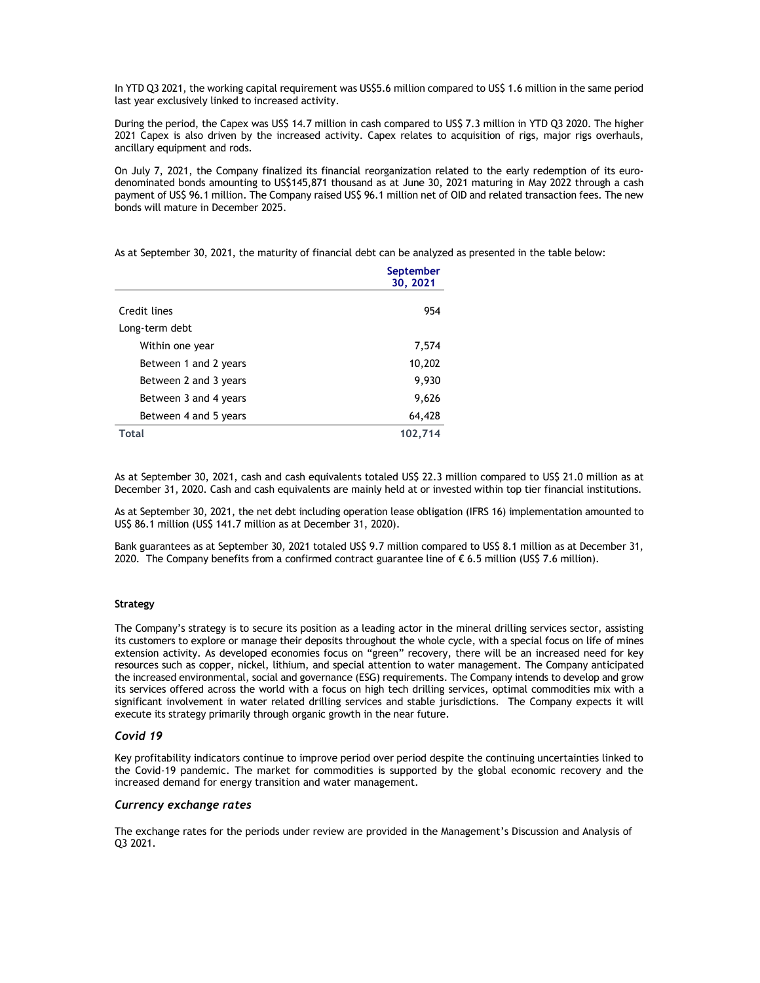In YTD Q3 2021, the working capital requirement was US\$5.6 million compared to US\$ 1.6 million in the same period last year exclusively linked to increased activity.

During the period, the Capex was US\$ 14.7 million in cash compared to US\$ 7.3 million in YTD Q3 2020. The higher 2021 Capex is also driven by the increased activity. Capex relates to acquisition of rigs, major rigs overhauls, ancillary equipment and rods.

On July 7, 2021, the Company finalized its financial reorganization related to the early redemption of its eurodenominated bonds amounting to US\$145,871 thousand as at June 30, 2021 maturing in May 2022 through a cash payment of US\$ 96.1 million. The Company raised US\$ 96.1 million net of OID and related transaction fees. The new bonds will mature in December 2025.

As at September 30, 2021, the maturity of financial debt can be analyzed as presented in the table below:

|                       | September<br>30, 2021 |
|-----------------------|-----------------------|
|                       |                       |
| Credit lines          | 954                   |
| Long-term debt        |                       |
| Within one year       | 7,574                 |
| Between 1 and 2 years | 10,202                |
| Between 2 and 3 years | 9,930                 |
| Between 3 and 4 years | 9,626                 |
| Between 4 and 5 years | 64,428                |
| Total                 | 102,714               |

As at September 30, 2021, cash and cash equivalents totaled US\$ 22.3 million compared to US\$ 21.0 million as at December 31, 2020. Cash and cash equivalents are mainly held at or invested within top tier financial institutions.

As at September 30, 2021, the net debt including operation lease obligation (IFRS 16) implementation amounted to US\$ 86.1 million (US\$ 141.7 million as at December 31, 2020).

Bank guarantees as at September 30, 2021 totaled US\$ 9.7 million compared to US\$ 8.1 million as at December 31, 2020. The Company benefits from a confirmed contract guarantee line of  $\epsilon$  6.5 million (US\$ 7.6 million).

#### Strategy

The Company's strategy is to secure its position as a leading actor in the mineral drilling services sector, assisting its customers to explore or manage their deposits throughout the whole cycle, with a special focus on life of mines extension activity. As developed economies focus on "green" recovery, there will be an increased need for key resources such as copper, nickel, lithium, and special attention to water management. The Company anticipated the increased environmental, social and governance (ESG) requirements. The Company intends to develop and grow its services offered across the world with a focus on high tech drilling services, optimal commodities mix with a significant involvement in water related drilling services and stable jurisdictions. The Company expects it will execute its strategy primarily through organic growth in the near future.

### Covid 19

Key profitability indicators continue to improve period over period despite the continuing uncertainties linked to the Covid-19 pandemic. The market for commodities is supported by the global economic recovery and the increased demand for energy transition and water management.

#### Currency exchange rates

The exchange rates for the periods under review are provided in the Management's Discussion and Analysis of Q3 2021.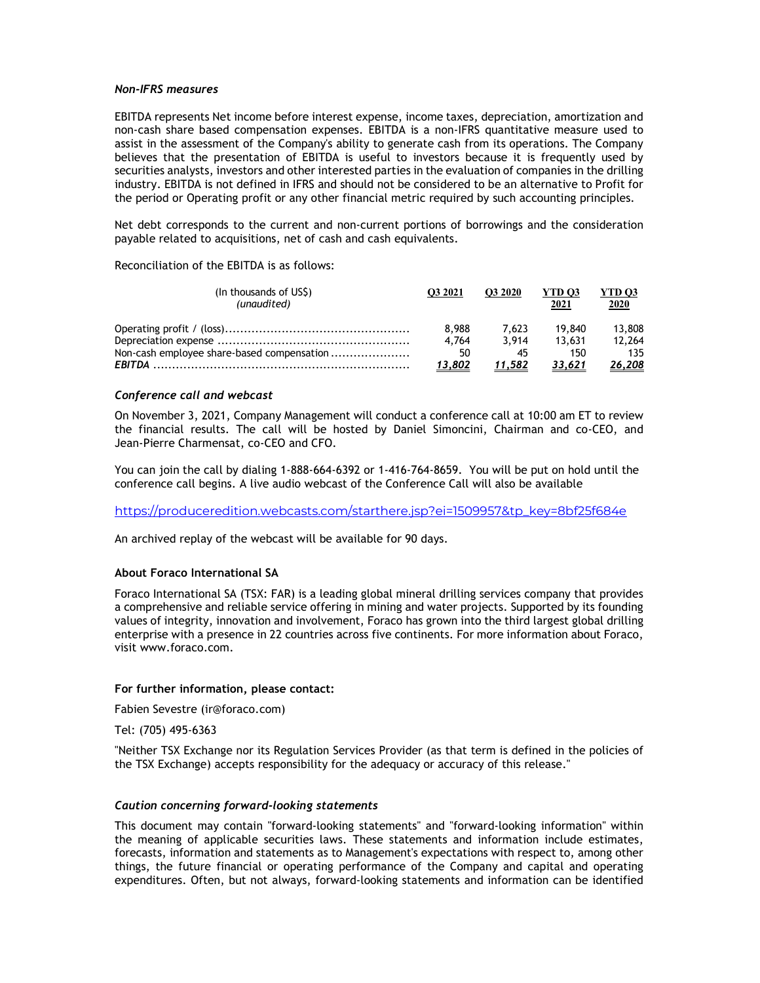# Non-IFRS measures

EBITDA represents Net income before interest expense, income taxes, depreciation, amortization and non-cash share based compensation expenses. EBITDA is a non-IFRS quantitative measure used to assist in the assessment of the Company's ability to generate cash from its operations. The Company believes that the presentation of EBITDA is useful to investors because it is frequently used by securities analysts, investors and other interested parties in the evaluation of companies in the drilling industry. EBITDA is not defined in IFRS and should not be considered to be an alternative to Profit for the period or Operating profit or any other financial metric required by such accounting principles.

Net debt corresponds to the current and non-current portions of borrowings and the consideration payable related to acquisitions, net of cash and cash equivalents.

Reconciliation of the EBITDA is as follows:

| (In thousands of US\$)<br>(unaudited)      | O <sub>3</sub> 2021 | <b>O3 2020</b> | YTD 03<br>2021 | YTD <sub>03</sub><br><b>2020</b> |
|--------------------------------------------|---------------------|----------------|----------------|----------------------------------|
|                                            | 8.988               | 7.623          | 19.840         | 13,808                           |
|                                            | 4.764               | 3.914          | 13.631         | 12,264                           |
| Non-cash employee share-based compensation | 50                  | 45             | 150            | 135                              |
|                                            | 13,802              | 11,582         | 33,621         | 26,208                           |

## Conference call and webcast

On November 3, 2021, Company Management will conduct a conference call at 10:00 am ET to review the financial results. The call will be hosted by Daniel Simoncini, Chairman and co-CEO, and Jean-Pierre Charmensat, co-CEO and CFO.

You can join the call by dialing 1-888-664-6392 or 1-416-764-8659. You will be put on hold until the conference call begins. A live audio webcast of the Conference Call will also be available

https://produceredition.webcasts.com/starthere.jsp?ei=1509957&tp\_key=8bf25f684e

An archived replay of the webcast will be available for 90 days.

#### About Foraco International SA

Foraco International SA (TSX: FAR) is a leading global mineral drilling services company that provides a comprehensive and reliable service offering in mining and water projects. Supported by its founding values of integrity, innovation and involvement, Foraco has grown into the third largest global drilling enterprise with a presence in 22 countries across five continents. For more information about Foraco, visit www.foraco.com.

# For further information, please contact:

Fabien Sevestre (ir@foraco.com)

Tel: (705) 495-6363

"Neither TSX Exchange nor its Regulation Services Provider (as that term is defined in the policies of the TSX Exchange) accepts responsibility for the adequacy or accuracy of this release."

## Caution concerning forward-looking statements

This document may contain "forward-looking statements" and "forward-looking information" within the meaning of applicable securities laws. These statements and information include estimates, forecasts, information and statements as to Management's expectations with respect to, among other things, the future financial or operating performance of the Company and capital and operating expenditures. Often, but not always, forward-looking statements and information can be identified